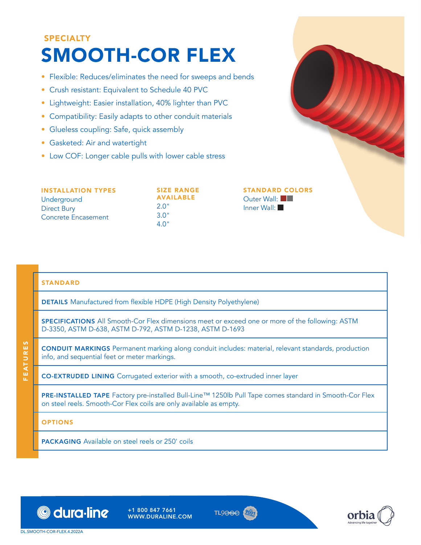# SPECIALTY SMOOTH-COR FLEX

- Flexible: Reduces/eliminates the need for sweeps and bends
- Crush resistant: Equivalent to Schedule 40 PVC
- Lightweight: Easier installation, 40% lighter than PVC
- Compatibility: Easily adapts to other conduit materials
- Glueless coupling: Safe, quick assembly
- Gasketed: Air and watertight
- $\bullet$  Low COF: Long

| • Low COF: Longer cable pulls with lower cable stress                                 |                                                               |                                                      |
|---------------------------------------------------------------------------------------|---------------------------------------------------------------|------------------------------------------------------|
| <b>INSTALLATION TYPES</b><br>Underground<br><b>Direct Bury</b><br>Concrete Encasement | <b>SIZE RANGE</b><br><b>AVAILABLE</b><br>2.0"<br>3.0"<br>4.0" | <b>STANDARD COLORS</b><br>Outer Wall:<br>Inner Wall: |

## STANDARD

DETAILS Manufactured from flexible HDPE (High Density Polyethylene)

SPECIFICATIONS All Smooth-Cor Flex dimensions meet or exceed one or more of the following: ASTM D-3350, ASTM D-638, ASTM D-792, ASTM D-1238, ASTM D-1693

CONDUIT MARKINGS Permanent marking along conduit includes: material, relevant standards, production info, and sequential feet or meter markings.

CO-EXTRUDED LINING Corrugated exterior with a smooth, co-extruded inner layer

PRE-INSTALLED TAPE Factory pre-installed Bull-Line™ 1250lb Pull Tape comes standard in Smooth-Cor Flex on steel reels. Smooth-Cor Flex coils are only available as empty.

**OPTIONS** 

FEATURES

EATURES

PACKAGING Available on steel reels or 250' coils



+1 800 847 7661 WWW.DURALINE.COM